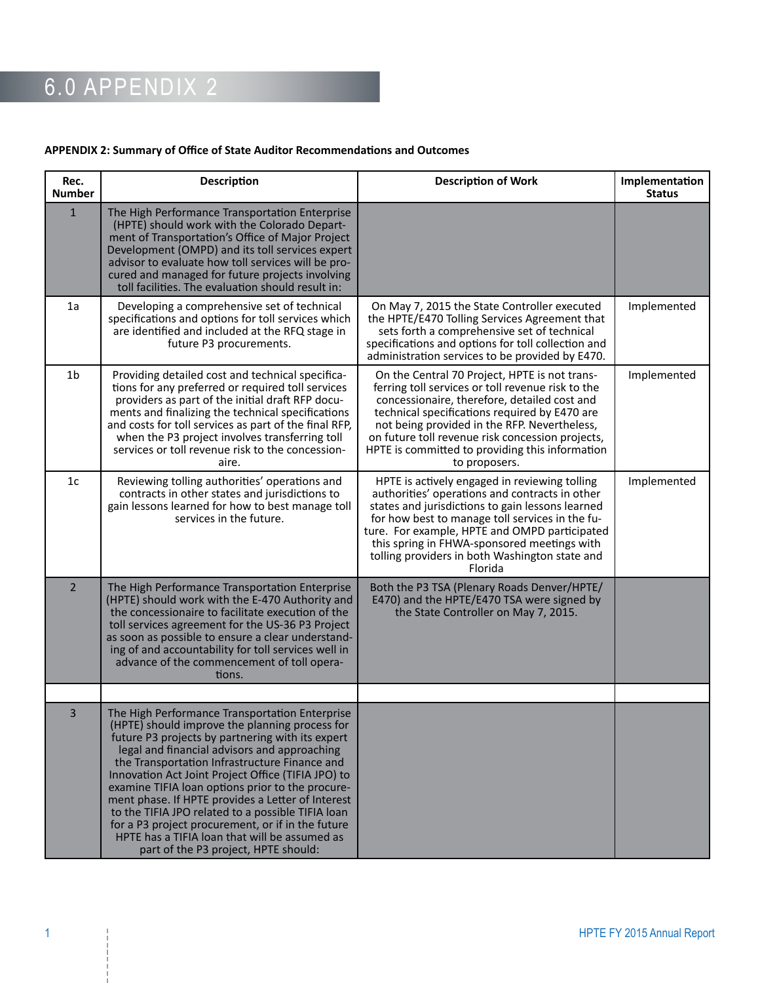#### 6.0 APPENDIX 2

#### **APPENDIX 2: Summary of Office of State Auditor Recommendations and Outcomes**

| Rec.<br><b>Number</b> | <b>Description</b>                                                                                                                                                                                                                                                                                                                                                                                                                                                                                                  | <b>Description of Work</b>                                                                                                                                                                                                                                                                                                                                                  | Implementation<br><b>Status</b> |
|-----------------------|---------------------------------------------------------------------------------------------------------------------------------------------------------------------------------------------------------------------------------------------------------------------------------------------------------------------------------------------------------------------------------------------------------------------------------------------------------------------------------------------------------------------|-----------------------------------------------------------------------------------------------------------------------------------------------------------------------------------------------------------------------------------------------------------------------------------------------------------------------------------------------------------------------------|---------------------------------|
| $1\,$                 | The High Performance Transportation Enterprise<br>(HPTE) should work with the Colorado Depart-<br>ment of Transportation's Office of Major Project<br>Development (OMPD) and its toll services expert<br>advisor to evaluate how toll services will be pro-<br>cured and managed for future projects involving<br>toll facilities. The evaluation should result in:                                                                                                                                                 |                                                                                                                                                                                                                                                                                                                                                                             |                                 |
| 1a                    | Developing a comprehensive set of technical<br>specifications and options for toll services which<br>are identified and included at the RFQ stage in<br>future P3 procurements.                                                                                                                                                                                                                                                                                                                                     | On May 7, 2015 the State Controller executed<br>the HPTE/E470 Tolling Services Agreement that<br>sets forth a comprehensive set of technical<br>specifications and options for toll collection and<br>administration services to be provided by E470.                                                                                                                       | Implemented                     |
| 1 <sub>b</sub>        | Providing detailed cost and technical specifica-<br>tions for any preferred or required toll services<br>providers as part of the initial draft RFP docu-<br>ments and finalizing the technical specifications<br>and costs for toll services as part of the final RFP,<br>when the P3 project involves transferring toll<br>services or toll revenue risk to the concession-<br>aire.                                                                                                                              | On the Central 70 Project, HPTE is not trans-<br>ferring toll services or toll revenue risk to the<br>concessionaire, therefore, detailed cost and<br>technical specifications required by E470 are<br>not being provided in the RFP. Nevertheless,<br>on future toll revenue risk concession projects,<br>HPTE is committed to providing this information<br>to proposers. | Implemented                     |
| 1 <sub>c</sub>        | Reviewing tolling authorities' operations and<br>contracts in other states and jurisdictions to<br>gain lessons learned for how to best manage toll<br>services in the future.                                                                                                                                                                                                                                                                                                                                      | HPTE is actively engaged in reviewing tolling<br>authorities' operations and contracts in other<br>states and jurisdictions to gain lessons learned<br>for how best to manage toll services in the fu-<br>ture. For example, HPTE and OMPD participated<br>this spring in FHWA-sponsored meetings with<br>tolling providers in both Washington state and<br>Florida         | Implemented                     |
| $\overline{2}$        | The High Performance Transportation Enterprise<br>(HPTE) should work with the E-470 Authority and<br>the concessionaire to facilitate execution of the<br>toll services agreement for the US-36 P3 Project<br>as soon as possible to ensure a clear understand-<br>ing of and accountability for toll services well in<br>advance of the commencement of toll opera-<br>tions.                                                                                                                                      | Both the P3 TSA (Plenary Roads Denver/HPTE/<br>E470) and the HPTE/E470 TSA were signed by<br>the State Controller on May 7, 2015.                                                                                                                                                                                                                                           |                                 |
| 3                     | The High Performance Transportation Enterprise<br>(HPTE) should improve the planning process for                                                                                                                                                                                                                                                                                                                                                                                                                    |                                                                                                                                                                                                                                                                                                                                                                             |                                 |
|                       | future P3 projects by partnering with its expert<br>legal and financial advisors and approaching<br>the Transportation Infrastructure Finance and<br>Innovation Act Joint Project Office (TIFIA JPO) to<br>examine TIFIA loan options prior to the procure-<br>ment phase. If HPTE provides a Letter of Interest<br>to the TIFIA JPO related to a possible TIFIA loan<br>for a P3 project procurement, or if in the future<br>HPTE has a TIFIA loan that will be assumed as<br>part of the P3 project, HPTE should: |                                                                                                                                                                                                                                                                                                                                                                             |                                 |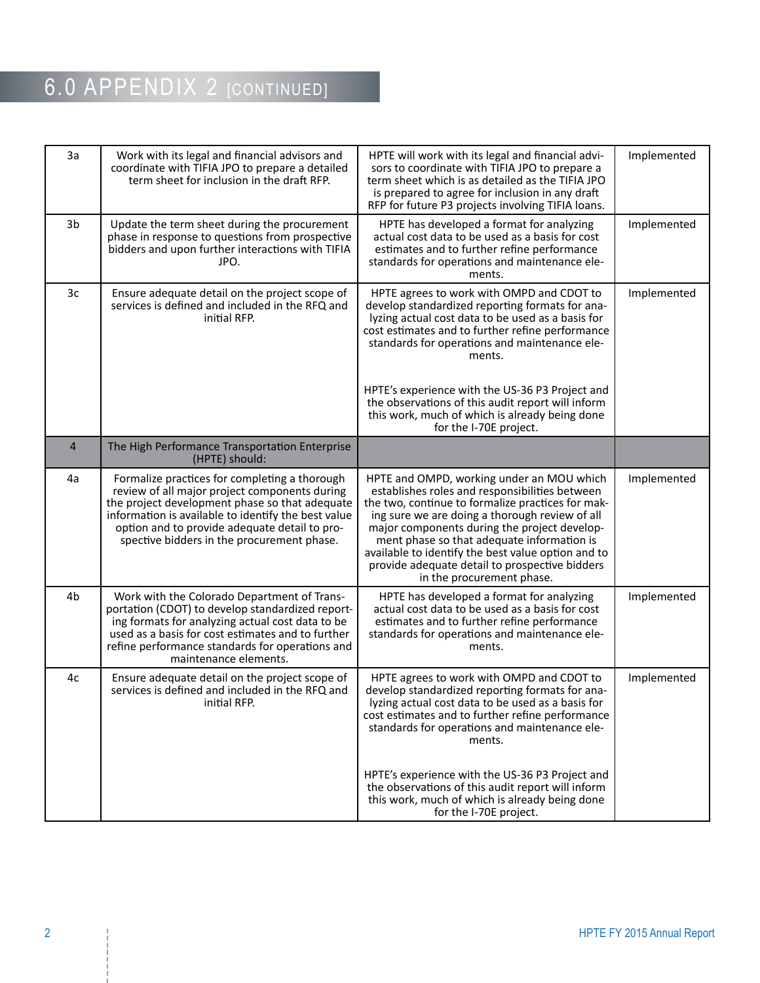| 3a         | Work with its legal and financial advisors and<br>coordinate with TIFIA JPO to prepare a detailed<br>term sheet for inclusion in the draft RFP.                                                                                                                                                        | HPTE will work with its legal and financial advi-<br>sors to coordinate with TIFIA JPO to prepare a<br>term sheet which is as detailed as the TIFIA JPO<br>is prepared to agree for inclusion in any draft<br>RFP for future P3 projects involving TIFIA loans.                                                                                                                                                                       | Implemented |
|------------|--------------------------------------------------------------------------------------------------------------------------------------------------------------------------------------------------------------------------------------------------------------------------------------------------------|---------------------------------------------------------------------------------------------------------------------------------------------------------------------------------------------------------------------------------------------------------------------------------------------------------------------------------------------------------------------------------------------------------------------------------------|-------------|
| 3b         | Update the term sheet during the procurement<br>phase in response to questions from prospective<br>bidders and upon further interactions with TIFIA<br>JPO.                                                                                                                                            | HPTE has developed a format for analyzing<br>actual cost data to be used as a basis for cost<br>estimates and to further refine performance<br>standards for operations and maintenance ele-<br>ments.                                                                                                                                                                                                                                | Implemented |
| 3c         | Ensure adequate detail on the project scope of<br>services is defined and included in the RFQ and<br>initial RFP.                                                                                                                                                                                      | HPTE agrees to work with OMPD and CDOT to<br>develop standardized reporting formats for ana-<br>lyzing actual cost data to be used as a basis for<br>cost estimates and to further refine performance<br>standards for operations and maintenance ele-<br>ments.                                                                                                                                                                      | Implemented |
|            |                                                                                                                                                                                                                                                                                                        | HPTE's experience with the US-36 P3 Project and<br>the observations of this audit report will inform<br>this work, much of which is already being done<br>for the I-70E project.                                                                                                                                                                                                                                                      |             |
| $\sqrt{4}$ | The High Performance Transportation Enterprise<br>(HPTE) should:                                                                                                                                                                                                                                       |                                                                                                                                                                                                                                                                                                                                                                                                                                       |             |
| 4a         | Formalize practices for completing a thorough<br>review of all major project components during<br>the project development phase so that adequate<br>information is available to identify the best value<br>option and to provide adequate detail to pro-<br>spective bidders in the procurement phase. | HPTE and OMPD, working under an MOU which<br>establishes roles and responsibilities between<br>the two, continue to formalize practices for mak-<br>ing sure we are doing a thorough review of all<br>major components during the project develop-<br>ment phase so that adequate information is<br>available to identify the best value option and to<br>provide adequate detail to prospective bidders<br>in the procurement phase. | Implemented |
| 4b         | Work with the Colorado Department of Trans-<br>portation (CDOT) to develop standardized report-<br>ing formats for analyzing actual cost data to be<br>used as a basis for cost estimates and to further<br>refine performance standards for operations and<br>maintenance elements.                   | HPTE has developed a format for analyzing<br>actual cost data to be used as a basis for cost<br>estimates and to further refine performance<br>standards for operations and maintenance ele-<br>ments.                                                                                                                                                                                                                                | Implemented |
| 4c         | Ensure adequate detail on the project scope of<br>services is defined and included in the RFQ and<br>initial RFP.                                                                                                                                                                                      | HPTE agrees to work with OMPD and CDOT to<br>develop standardized reporting formats for ana-<br>lyzing actual cost data to be used as a basis for<br>cost estimates and to further refine performance<br>standards for operations and maintenance ele-<br>ments.<br>HPTE's experience with the US-36 P3 Project and                                                                                                                   | Implemented |
|            |                                                                                                                                                                                                                                                                                                        | the observations of this audit report will inform<br>this work, much of which is already being done<br>for the I-70E project.                                                                                                                                                                                                                                                                                                         |             |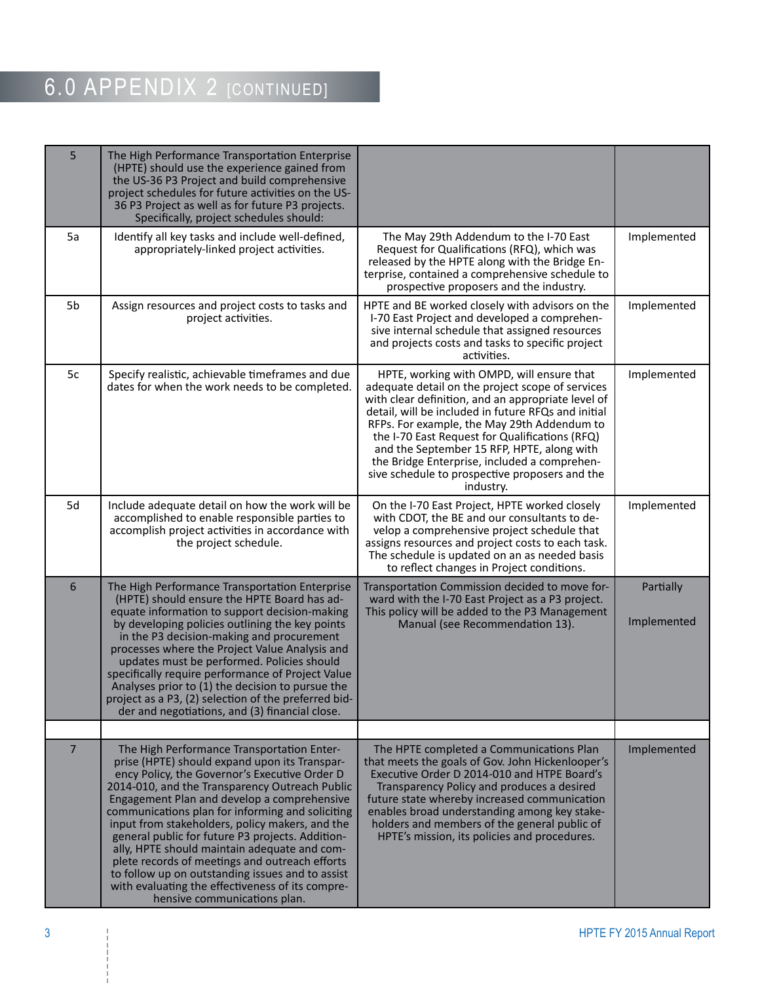| 5              | The High Performance Transportation Enterprise<br>(HPTE) should use the experience gained from<br>the US-36 P3 Project and build comprehensive<br>project schedules for future activities on the US-<br>36 P3 Project as well as for future P3 projects.                                                                                                                                                                                                                                                                                                                                                                                           |                                                                                                                                                                                                                                                                                                                                                                                                                                                                          |                          |
|----------------|----------------------------------------------------------------------------------------------------------------------------------------------------------------------------------------------------------------------------------------------------------------------------------------------------------------------------------------------------------------------------------------------------------------------------------------------------------------------------------------------------------------------------------------------------------------------------------------------------------------------------------------------------|--------------------------------------------------------------------------------------------------------------------------------------------------------------------------------------------------------------------------------------------------------------------------------------------------------------------------------------------------------------------------------------------------------------------------------------------------------------------------|--------------------------|
| 5a             | Specifically, project schedules should:<br>Identify all key tasks and include well-defined,<br>appropriately-linked project activities.                                                                                                                                                                                                                                                                                                                                                                                                                                                                                                            | The May 29th Addendum to the I-70 East<br>Request for Qualifications (RFQ), which was<br>released by the HPTE along with the Bridge En-<br>terprise, contained a comprehensive schedule to<br>prospective proposers and the industry.                                                                                                                                                                                                                                    | Implemented              |
| 5 <sub>b</sub> | Assign resources and project costs to tasks and<br>project activities.                                                                                                                                                                                                                                                                                                                                                                                                                                                                                                                                                                             | HPTE and BE worked closely with advisors on the<br>I-70 East Project and developed a comprehen-<br>sive internal schedule that assigned resources<br>and projects costs and tasks to specific project<br>activities.                                                                                                                                                                                                                                                     | Implemented              |
| 5c             | Specify realistic, achievable timeframes and due<br>dates for when the work needs to be completed.                                                                                                                                                                                                                                                                                                                                                                                                                                                                                                                                                 | HPTE, working with OMPD, will ensure that<br>adequate detail on the project scope of services<br>with clear definition, and an appropriate level of<br>detail, will be included in future RFQs and initial<br>RFPs. For example, the May 29th Addendum to<br>the I-70 East Request for Qualifications (RFQ)<br>and the September 15 RFP, HPTE, along with<br>the Bridge Enterprise, included a comprehen-<br>sive schedule to prospective proposers and the<br>industry. | Implemented              |
| 5d             | Include adequate detail on how the work will be<br>accomplished to enable responsible parties to<br>accomplish project activities in accordance with<br>the project schedule.                                                                                                                                                                                                                                                                                                                                                                                                                                                                      | On the I-70 East Project, HPTE worked closely<br>with CDOT, the BE and our consultants to de-<br>velop a comprehensive project schedule that<br>assigns resources and project costs to each task.<br>The schedule is updated on an as needed basis<br>to reflect changes in Project conditions.                                                                                                                                                                          | Implemented              |
| 6              | The High Performance Transportation Enterprise<br>(HPTE) should ensure the HPTE Board has ad-<br>equate information to support decision-making<br>by developing policies outlining the key points<br>in the P3 decision-making and procurement<br>processes where the Project Value Analysis and<br>updates must be performed. Policies should<br>specifically require performance of Project Value<br>Analyses prior to (1) the decision to pursue the<br>project as a P3, (2) selection of the preferred bid-<br>der and negotiations, and (3) financial close.                                                                                  | Transportation Commission decided to move for-<br>ward with the I-70 East Project as a P3 project.<br>This policy will be added to the P3 Management<br>Manual (see Recommendation 13).                                                                                                                                                                                                                                                                                  | Partially<br>Implemented |
|                |                                                                                                                                                                                                                                                                                                                                                                                                                                                                                                                                                                                                                                                    |                                                                                                                                                                                                                                                                                                                                                                                                                                                                          |                          |
| $\overline{7}$ | The High Performance Transportation Enter-<br>prise (HPTE) should expand upon its Transpar-<br>ency Policy, the Governor's Executive Order D<br>2014-010, and the Transparency Outreach Public<br>Engagement Plan and develop a comprehensive<br>communications plan for informing and soliciting<br>input from stakeholders, policy makers, and the<br>general public for future P3 projects. Addition-<br>ally, HPTE should maintain adequate and com-<br>plete records of meetings and outreach efforts<br>to follow up on outstanding issues and to assist<br>with evaluating the effectiveness of its compre-<br>hensive communications plan. | The HPTE completed a Communications Plan<br>that meets the goals of Gov. John Hickenlooper's<br>Executive Order D 2014-010 and HTPE Board's<br>Transparency Policy and produces a desired<br>future state whereby increased communication<br>enables broad understanding among key stake-<br>holders and members of the general public of<br>HPTE's mission, its policies and procedures.                                                                                | Implemented              |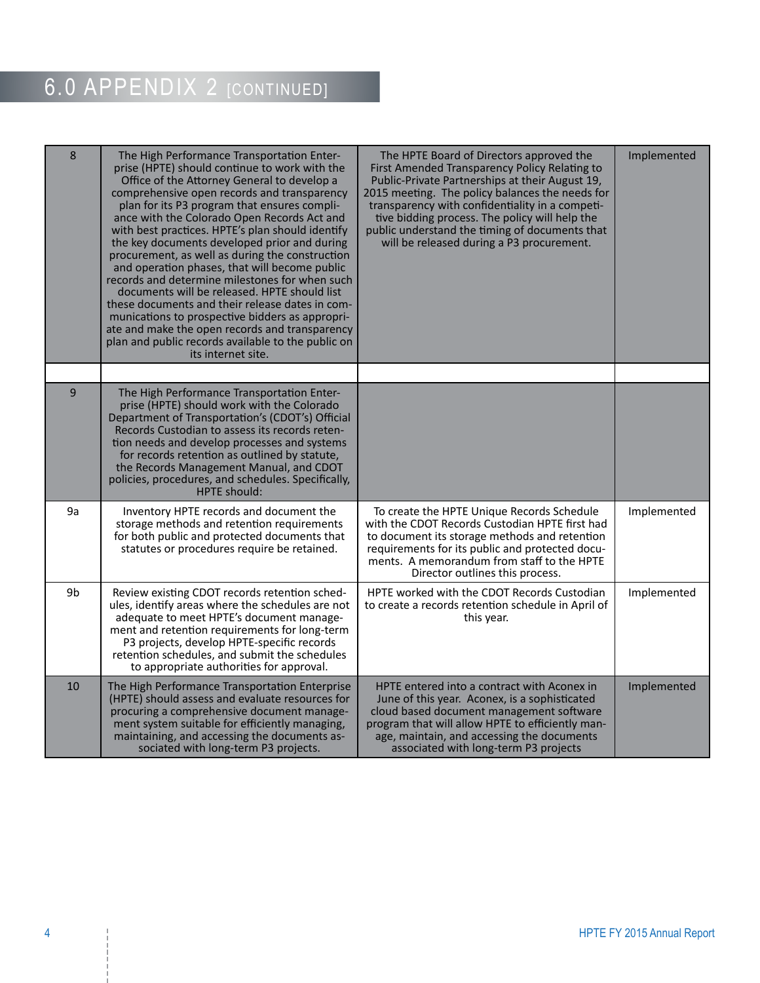| 8  | The High Performance Transportation Enter-<br>prise (HPTE) should continue to work with the<br>Office of the Attorney General to develop a<br>comprehensive open records and transparency<br>plan for its P3 program that ensures compli-<br>ance with the Colorado Open Records Act and<br>with best practices. HPTE's plan should identify<br>the key documents developed prior and during<br>procurement, as well as during the construction<br>and operation phases, that will become public<br>records and determine milestones for when such<br>documents will be released. HPTE should list<br>these documents and their release dates in com-<br>munications to prospective bidders as appropri-<br>ate and make the open records and transparency<br>plan and public records available to the public on<br>its internet site. | The HPTE Board of Directors approved the<br>First Amended Transparency Policy Relating to<br>Public-Private Partnerships at their August 19,<br>2015 meeting. The policy balances the needs for<br>transparency with confidentiality in a competi-<br>tive bidding process. The policy will help the<br>public understand the timing of documents that<br>will be released during a P3 procurement. | Implemented |
|----|----------------------------------------------------------------------------------------------------------------------------------------------------------------------------------------------------------------------------------------------------------------------------------------------------------------------------------------------------------------------------------------------------------------------------------------------------------------------------------------------------------------------------------------------------------------------------------------------------------------------------------------------------------------------------------------------------------------------------------------------------------------------------------------------------------------------------------------|-----------------------------------------------------------------------------------------------------------------------------------------------------------------------------------------------------------------------------------------------------------------------------------------------------------------------------------------------------------------------------------------------------|-------------|
|    |                                                                                                                                                                                                                                                                                                                                                                                                                                                                                                                                                                                                                                                                                                                                                                                                                                        |                                                                                                                                                                                                                                                                                                                                                                                                     |             |
| 9  | The High Performance Transportation Enter-<br>prise (HPTE) should work with the Colorado<br>Department of Transportation's (CDOT's) Official<br>Records Custodian to assess its records reten-<br>tion needs and develop processes and systems<br>for records retention as outlined by statute,<br>the Records Management Manual, and CDOT<br>policies, procedures, and schedules. Specifically,<br><b>HPTE</b> should:                                                                                                                                                                                                                                                                                                                                                                                                                |                                                                                                                                                                                                                                                                                                                                                                                                     |             |
| 9a | Inventory HPTE records and document the<br>storage methods and retention requirements<br>for both public and protected documents that<br>statutes or procedures require be retained.                                                                                                                                                                                                                                                                                                                                                                                                                                                                                                                                                                                                                                                   | To create the HPTE Unique Records Schedule<br>with the CDOT Records Custodian HPTE first had<br>to document its storage methods and retention<br>requirements for its public and protected docu-<br>ments. A memorandum from staff to the HPTE<br>Director outlines this process.                                                                                                                   | Implemented |
| 9b | Review existing CDOT records retention sched-<br>ules, identify areas where the schedules are not<br>adequate to meet HPTE's document manage-<br>ment and retention requirements for long-term<br>P3 projects, develop HPTE-specific records<br>retention schedules, and submit the schedules<br>to appropriate authorities for approval.                                                                                                                                                                                                                                                                                                                                                                                                                                                                                              | HPTE worked with the CDOT Records Custodian<br>to create a records retention schedule in April of<br>this year.                                                                                                                                                                                                                                                                                     | Implemented |
| 10 | The High Performance Transportation Enterprise<br>(HPTE) should assess and evaluate resources for<br>procuring a comprehensive document manage-<br>ment system suitable for efficiently managing,<br>maintaining, and accessing the documents as-<br>sociated with long-term P3 projects.                                                                                                                                                                                                                                                                                                                                                                                                                                                                                                                                              | HPTE entered into a contract with Aconex in<br>June of this year. Aconex, is a sophisticated<br>cloud based document management software<br>program that will allow HPTE to efficiently man-<br>age, maintain, and accessing the documents<br>associated with long-term P3 projects                                                                                                                 | Implemented |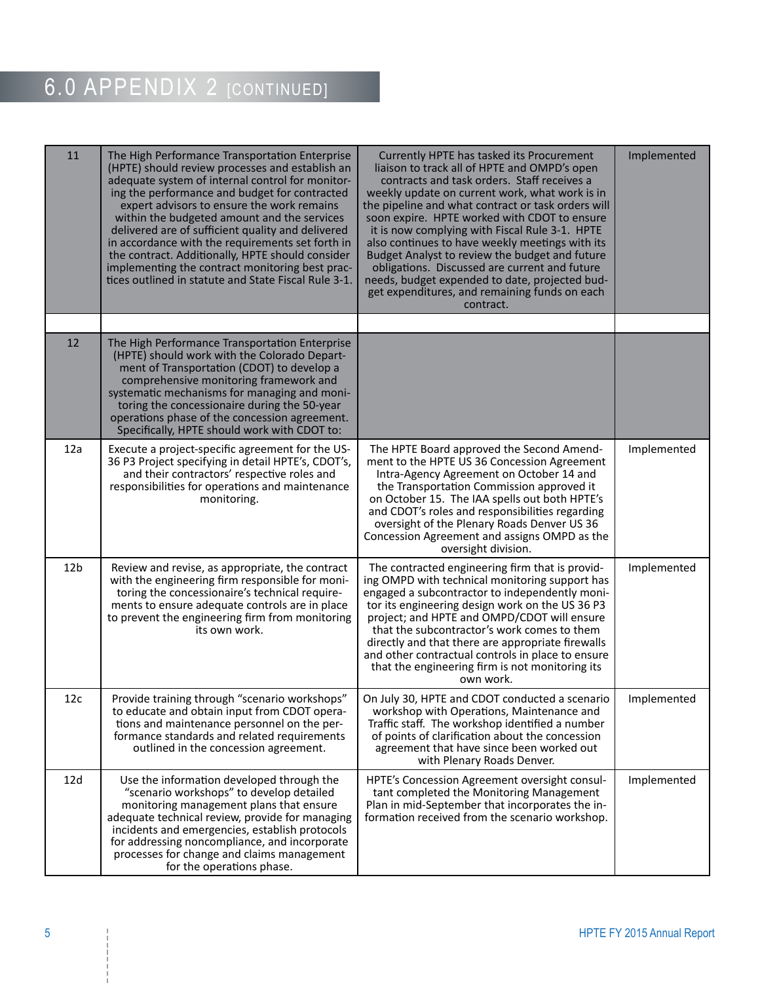| 11              | The High Performance Transportation Enterprise<br>(HPTE) should review processes and establish an<br>adequate system of internal control for monitor-<br>ing the performance and budget for contracted<br>expert advisors to ensure the work remains<br>within the budgeted amount and the services<br>delivered are of sufficient quality and delivered<br>in accordance with the requirements set forth in<br>the contract. Additionally, HPTE should consider<br>implementing the contract monitoring best prac-<br>tices outlined in statute and State Fiscal Rule 3-1. | Currently HPTE has tasked its Procurement<br>liaison to track all of HPTE and OMPD's open<br>contracts and task orders. Staff receives a<br>weekly update on current work, what work is in<br>the pipeline and what contract or task orders will<br>soon expire. HPTE worked with CDOT to ensure<br>it is now complying with Fiscal Rule 3-1. HPTE<br>also continues to have weekly meetings with its<br>Budget Analyst to review the budget and future<br>obligations. Discussed are current and future<br>needs, budget expended to date, projected bud-<br>get expenditures, and remaining funds on each<br>contract. | Implemented |
|-----------------|-----------------------------------------------------------------------------------------------------------------------------------------------------------------------------------------------------------------------------------------------------------------------------------------------------------------------------------------------------------------------------------------------------------------------------------------------------------------------------------------------------------------------------------------------------------------------------|--------------------------------------------------------------------------------------------------------------------------------------------------------------------------------------------------------------------------------------------------------------------------------------------------------------------------------------------------------------------------------------------------------------------------------------------------------------------------------------------------------------------------------------------------------------------------------------------------------------------------|-------------|
|                 |                                                                                                                                                                                                                                                                                                                                                                                                                                                                                                                                                                             |                                                                                                                                                                                                                                                                                                                                                                                                                                                                                                                                                                                                                          |             |
| 12              | The High Performance Transportation Enterprise<br>(HPTE) should work with the Colorado Depart-<br>ment of Transportation (CDOT) to develop a<br>comprehensive monitoring framework and<br>systematic mechanisms for managing and moni-<br>toring the concessionaire during the 50-year<br>operations phase of the concession agreement.<br>Specifically, HPTE should work with CDOT to:                                                                                                                                                                                     |                                                                                                                                                                                                                                                                                                                                                                                                                                                                                                                                                                                                                          |             |
| 12a             | Execute a project-specific agreement for the US-<br>36 P3 Project specifying in detail HPTE's, CDOT's,<br>and their contractors' respective roles and<br>responsibilities for operations and maintenance<br>monitoring.                                                                                                                                                                                                                                                                                                                                                     | The HPTE Board approved the Second Amend-<br>ment to the HPTE US 36 Concession Agreement<br>Intra-Agency Agreement on October 14 and<br>the Transportation Commission approved it<br>on October 15. The IAA spells out both HPTE's<br>and CDOT's roles and responsibilities regarding<br>oversight of the Plenary Roads Denver US 36<br>Concession Agreement and assigns OMPD as the<br>oversight division.                                                                                                                                                                                                              | Implemented |
| 12 <sub>b</sub> | Review and revise, as appropriate, the contract<br>with the engineering firm responsible for moni-<br>toring the concessionaire's technical require-<br>ments to ensure adequate controls are in place<br>to prevent the engineering firm from monitoring<br>its own work.                                                                                                                                                                                                                                                                                                  | The contracted engineering firm that is provid-<br>ing OMPD with technical monitoring support has<br>engaged a subcontractor to independently moni-<br>tor its engineering design work on the US 36 P3<br>project; and HPTE and OMPD/CDOT will ensure<br>that the subcontractor's work comes to them<br>directly and that there are appropriate firewalls<br>and other contractual controls in place to ensure<br>that the engineering firm is not monitoring its<br>own work.                                                                                                                                           | Implemented |
| 12c             | Provide training through "scenario workshops"<br>to educate and obtain input from CDOT opera-<br>tions and maintenance personnel on the per-<br>formance standards and related requirements<br>outlined in the concession agreement.                                                                                                                                                                                                                                                                                                                                        | On July 30, HPTE and CDOT conducted a scenario<br>workshop with Operations, Maintenance and<br>Traffic staff. The workshop identified a number<br>of points of clarification about the concession<br>agreement that have since been worked out<br>with Plenary Roads Denver.                                                                                                                                                                                                                                                                                                                                             | Implemented |
| 12d             | Use the information developed through the<br>"scenario workshops" to develop detailed<br>monitoring management plans that ensure<br>adequate technical review, provide for managing<br>incidents and emergencies, establish protocols<br>for addressing noncompliance, and incorporate<br>processes for change and claims management<br>for the operations phase.                                                                                                                                                                                                           | HPTE's Concession Agreement oversight consul-<br>tant completed the Monitoring Management<br>Plan in mid-September that incorporates the in-<br>formation received from the scenario workshop.                                                                                                                                                                                                                                                                                                                                                                                                                           | Implemented |